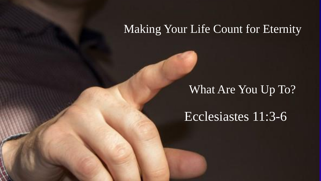#### Making Your Life Count for Eternity

#### What Are You Up To?

#### Ecclesiastes 11:3-6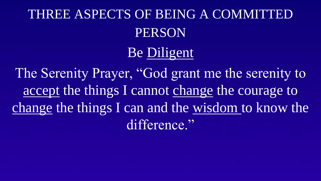# THREE ASPECTS OF BEING A COMMITTED PERSON

## Be Diligent

The Serenity Prayer, "God grant me the serenity to accept the things I cannot change the courage to change the things I can and the wisdom to know the difference."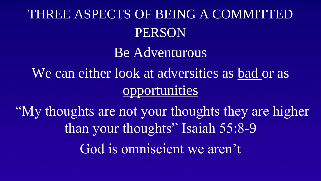# THREE ASPECTS OF BEING A COMMITTED PERSON

Be Adventurous

We can either look at adversities as bad or as opportunities

"My thoughts are not your thoughts they are higher than your thoughts" Isaiah 55:8-9 God is omniscient we aren't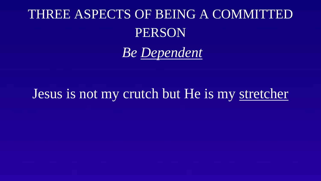## THREE ASPECTS OF BEING A COMMITTED PERSON

*Be Dependent*

## Jesus is not my crutch but He is my stretcher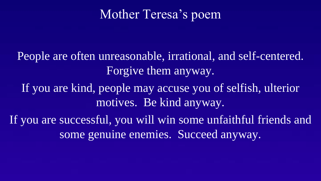### Mother Teresa's poem

People are often unreasonable, irrational, and self-centered. Forgive them anyway.

If you are kind, people may accuse you of selfish, ulterior motives. Be kind anyway.

If you are successful, you will win some unfaithful friends and some genuine enemies. Succeed anyway.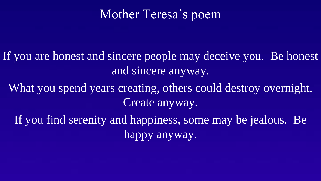## Mother Teresa's poem

- If you are honest and sincere people may deceive you. Be honest and sincere anyway.
	- What you spend years creating, others could destroy overnight. Create anyway.
		- If you find serenity and happiness, some may be jealous. Be happy anyway.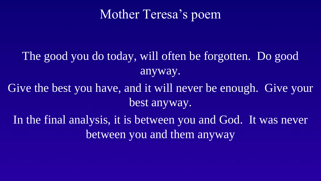## Mother Teresa's poem

The good you do today, will often be forgotten. Do good anyway.

Give the best you have, and it will never be enough. Give your best anyway.

In the final analysis, it is between you and God. It was never between you and them anyway